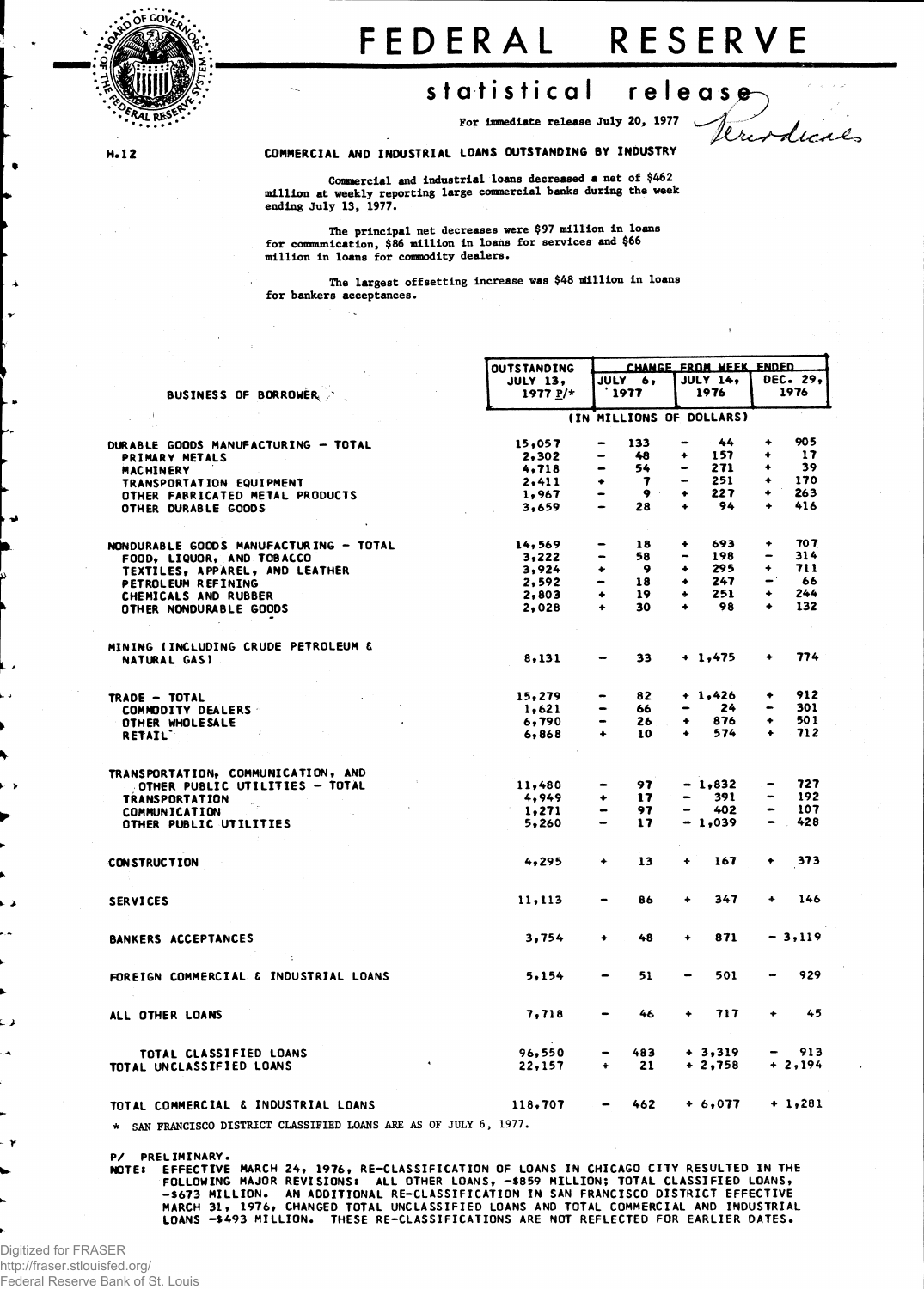

## FEDERA L RESERV E

## statistical release

**For Immediate release July 20, 1977**

Teriordical

H.1 2

## COMMERCIAL AND INDUSTRIAL LOANS OUTSTANDING BY INDUSTRY

**Commercial and Industrial loans decreased a net of \$462 million at weekly reporting large commercial banks during the week ending July 13, 1977.**

**The principal net decreases were \$97 million in loans for communication, \$86 million in loans for services and \$66 million in loans for commodity dealers.**

**The largest offsetting increase was idilllon in loans for bankers acceptances.**

|                                                | <b>OUTSTANDING</b> |                      |         | CHANGE FROM WEEK ENDED       |                          |               |                 |  |
|------------------------------------------------|--------------------|----------------------|---------|------------------------------|--------------------------|---------------|-----------------|--|
|                                                | <b>JULY 13,</b>    |                      | JULY 6, |                              | <b>JULY 14,</b>          |               | DEC. 29.        |  |
| <b>BUSINESS OF BORROWER,</b>                   | $1977 P/*$         |                      | 1977    |                              | 1976                     |               | 1976            |  |
|                                                |                    |                      |         |                              | (IN MILLIONS OF DOLLARS) |               |                 |  |
| DURABLE GOODS MANUFACTURING — TOTAL            | 15,057             |                      | 133     |                              | 44                       | ۰             | 905             |  |
| PRIMARY METALS                                 | 2,302              |                      | 48      | ۰                            | 157                      | ۰             | $\overline{17}$ |  |
| MACHINERY                                      | 4,718              | -                    | 54      | -                            | 271                      | ۰             | 39              |  |
| TRANSPORTATION EQUIPMENT                       | 2,411              | ۰                    | 7       | -                            | 251                      | ۰             | 170             |  |
| OTHER FABRICATED METAL PRODUCTS                | 1,967              | -                    | 9       | ٠                            | 227                      | ۰             | 263             |  |
| OTHER DURABLE GOODS                            | 3,659              | $\rightarrow$        | 28      | $\ddotmark$                  | 94                       | ۰             | 416             |  |
|                                                | 14,569             |                      | 18      | ٠                            | 693                      | ۰             | 707             |  |
| NONDURABLE GOODS MANUFACTURING - TOTAL         |                    | -                    | 58      | $\qquad \qquad \blacksquare$ | 198                      | -             | 314             |  |
| FOOD, LIQUOR, AND TOBACCO                      | 3,222              |                      |         |                              | 295                      | ۰             | 711             |  |
| TEXTILES, APPAREL, AND LEATHER                 | 3,924              | ٠                    | 9       | ۰                            |                          | – '           |                 |  |
| PETROLEUM REFINING                             | 2,592              | -                    | 18      | ۰                            | 247                      |               | -66             |  |
| CHEMICALS AND RUBBER                           | 2,803              | ۰                    | 19      | ۰                            | 251                      | ٠             | 244             |  |
| OTHER NONDURABLE GOODS                         | 2,028              | ٠                    | 30      | ۰                            | 98                       | ۰             | 132             |  |
| <b>MINING (INCLUDING CRUDE PETROLEUM &amp;</b> |                    |                      |         |                              |                          |               |                 |  |
| NATURAL GAS)                                   | 8,131              |                      | 33      |                              | $+1,475$                 | ۰             | 774             |  |
|                                                |                    |                      | 82      |                              | $+ 1,426$                | ۰             | 912             |  |
| TRADE - TOTAL                                  | 15,279             |                      |         | $\blacksquare$               |                          |               | 301             |  |
| COMMODITY DEALERS                              | 1,621              | -                    | 66      |                              | 24                       |               |                 |  |
| OTHER WHOLESALE                                | 6,790              | $\blacksquare$       | 26      | ٠                            | 876                      | ۰             | 501             |  |
| <b>RETAIL</b>                                  | 6,868              | ۰                    | 10      | ٠                            | 574                      | ٠             | 712             |  |
| TRANSPORTATION, COMMUNICATION, AND             |                    |                      |         |                              |                          |               |                 |  |
| OTHER PUBLIC UTILITIES - TOTAL                 | 11,480             |                      | 97      |                              | $-1,832$                 | $\bullet$     | 727             |  |
| <b>TRANSPORTATION</b>                          | 4,949              | ۰                    | 17      |                              | 391                      |               | 192             |  |
| <b>COMMUNICATION</b>                           | 1,271              | -                    | 97      | $\bullet$                    | 402                      | $\bullet$     | 107             |  |
| OTHER PUBLIC UTILITIES                         | 5,260              | $\bullet$            | 17      |                              | $-1,039$                 | $\rightarrow$ | 428             |  |
|                                                |                    |                      |         |                              |                          |               |                 |  |
| <b>CONSTRUCTION</b>                            | 4,295              | ٠                    | 13      |                              | 167                      | ۰             | 373             |  |
|                                                |                    |                      |         |                              |                          |               |                 |  |
| <b>SERVICES</b>                                | 11,113             |                      | 86      | ۰                            | 347                      | ۰             | 146             |  |
| BANKERS ACCEPTANCES                            | 3,754              | ۰                    | 48      | ٠                            | 871                      |               | $-3,119$        |  |
|                                                | 5,154              |                      | 51      | $\blacksquare$               | 501                      |               | 929             |  |
| FOREIGN COMMERCIAL & INDUSTRIAL LOANS          |                    |                      |         |                              |                          |               |                 |  |
| ALL OTHER LOANS                                | 7,718              |                      | 46      |                              | 717                      | ٠             | 45              |  |
| TOTAL CLASSIFIED LOANS                         | 96,550             |                      | 483     |                              | $+ 3,319$                |               | 913             |  |
| TOTAL UNCLASSIFIED LOANS                       | 22,157             | $\ddot{\phantom{1}}$ | 21      |                              | $+2,758$                 |               | $+2,194$        |  |
| TOTAL COMMERCIAL & INDUSTRIAL LOANS            | 118,707            |                      | 462     |                              | $+ 6,077$                |               | $+ 1,281$       |  |
| and all company of the same                    |                    |                      |         |                              |                          |               |                 |  |

**\* SAN FRANCISCO DISTRICT CLASSIFIED LOANS ARE AS OF JULY 6, 1977.**

P/ PRELIMINARY.<br>NOTE: EFFECTIVE

EFFECTIVE MARCH 24, 1976, RE-CLASSIFICATION OF LOANS IN CHICAGO CITY RESULTED IN THE FOLLOWING MAJOR REVISIONS: ALL OTHER LOANS, —\$859 MILLION; TOTAL CLASSIFIED LOANS,<br>—\$673 MILLION. AN ADDITIONAL RE—CLASSIFICATION IN SAN FRANCISCO DISTRICT EFFECTIVE<br>MARCH 31, 1976, CHANGED TOTAL UNCLASSIFICATIONS AND TO

Digitized for FRASER http://fraser.stlouisfed.org/ Federal Reserve Bank of St. Louis